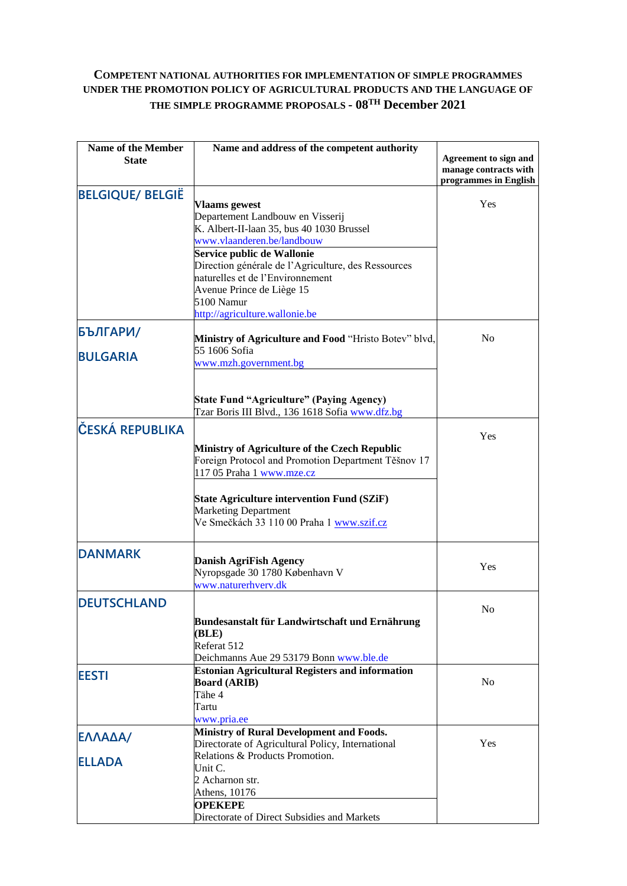## **COMPETENT NATIONAL AUTHORITIES FOR IMPLEMENTATION OF SIMPLE PROGRAMMES UNDER THE PROMOTION POLICY OF AGRICULTURAL PRODUCTS AND THE LANGUAGE OF THE SIMPLE PROGRAMME PROPOSALS - 08TH December 2021**

| <b>Name of the Member</b> | Name and address of the competent authority                                       |                                                |
|---------------------------|-----------------------------------------------------------------------------------|------------------------------------------------|
| <b>State</b>              |                                                                                   | Agreement to sign and<br>manage contracts with |
|                           |                                                                                   | programmes in English                          |
| <b>BELGIQUE/ BELGIË</b>   |                                                                                   |                                                |
|                           | <b>Vlaams</b> gewest                                                              | Yes                                            |
|                           | Departement Landbouw en Visserij                                                  |                                                |
|                           | K. Albert-II-laan 35, bus 40 1030 Brussel                                         |                                                |
|                           | www.vlaanderen.be/landbouw                                                        |                                                |
|                           | Service public de Wallonie<br>Direction générale de l'Agriculture, des Ressources |                                                |
|                           | naturelles et de l'Environnement                                                  |                                                |
|                           | Avenue Prince de Liège 15                                                         |                                                |
|                           | 5100 Namur                                                                        |                                                |
|                           | http://agriculture.wallonie.be                                                    |                                                |
| БЪЛГАРИ/                  |                                                                                   |                                                |
|                           | Ministry of Agriculture and Food "Hristo Botev" blvd,                             | N <sub>0</sub>                                 |
| <b>BULGARIA</b>           | 55 1606 Sofia                                                                     |                                                |
|                           | www.mzh.government.bg                                                             |                                                |
|                           |                                                                                   |                                                |
|                           | <b>State Fund "Agriculture" (Paying Agency)</b>                                   |                                                |
|                           | Tzar Boris III Blvd., 136 1618 Sofia www.dfz.bg                                   |                                                |
| ČESKÁ REPUBLIKA           |                                                                                   |                                                |
|                           |                                                                                   | Yes                                            |
|                           | Ministry of Agriculture of the Czech Republic                                     |                                                |
|                           | Foreign Protocol and Promotion Department Těšnov 17                               |                                                |
|                           | 117 05 Praha 1 www.mze.cz                                                         |                                                |
|                           |                                                                                   |                                                |
|                           | <b>State Agriculture intervention Fund (SZiF)</b><br><b>Marketing Department</b>  |                                                |
|                           | Ve Smečkách 33 110 00 Praha 1 www.szif.cz                                         |                                                |
|                           |                                                                                   |                                                |
| <b>DANMARK</b>            |                                                                                   |                                                |
|                           | <b>Danish AgriFish Agency</b>                                                     | Yes                                            |
|                           | Nyropsgade 30 1780 København V                                                    |                                                |
|                           | www.naturerhverv.dk                                                               |                                                |
| <b>DEUTSCHLAND</b>        |                                                                                   | N <sub>0</sub>                                 |
|                           | Bundesanstalt für Landwirtschaft und Ernährung                                    |                                                |
|                           | (BLE)                                                                             |                                                |
|                           | Referat 512                                                                       |                                                |
|                           | Deichmanns Aue 29 53179 Bonn www.ble.de                                           |                                                |
| <b>EESTI</b>              | <b>Estonian Agricultural Registers and information</b>                            |                                                |
|                           | <b>Board (ARIB)</b>                                                               | N <sub>o</sub>                                 |
|                           | Tähe 4                                                                            |                                                |
|                           | Tartu                                                                             |                                                |
|                           | www.pria.ee<br><b>Ministry of Rural Development and Foods.</b>                    |                                                |
| ΕΛΛΑΔΑ/                   | Directorate of Agricultural Policy, International                                 | Yes                                            |
|                           | Relations & Products Promotion.                                                   |                                                |
| <b>ELLADA</b>             | Unit C.                                                                           |                                                |
|                           | 2 Acharnon str.                                                                   |                                                |
|                           | Athens, 10176                                                                     |                                                |
|                           | <b>OPEKEPE</b>                                                                    |                                                |
|                           | Directorate of Direct Subsidies and Markets                                       |                                                |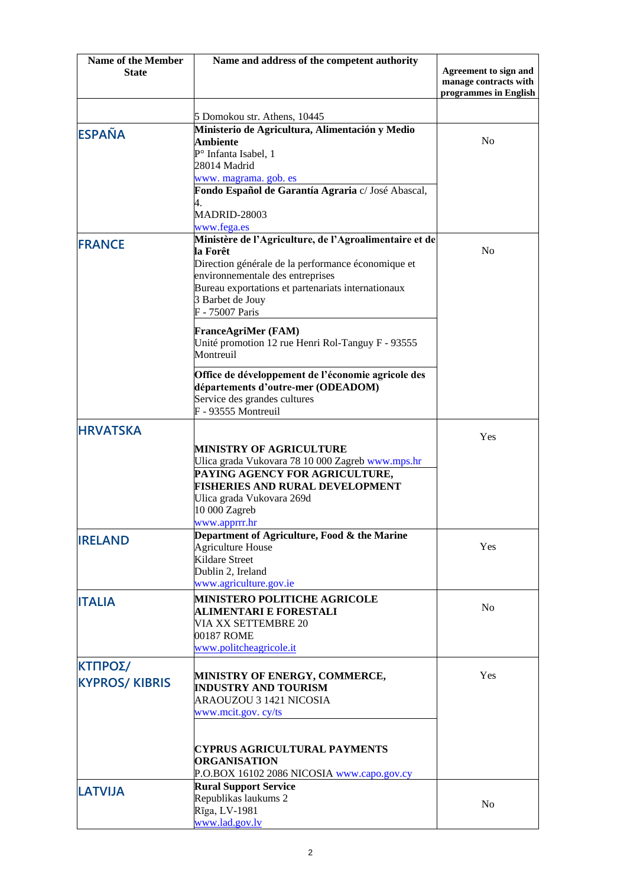| <b>Name of the Member</b> | Name and address of the competent authority                                                                                                                                                                        |                                                                         |
|---------------------------|--------------------------------------------------------------------------------------------------------------------------------------------------------------------------------------------------------------------|-------------------------------------------------------------------------|
| <b>State</b>              |                                                                                                                                                                                                                    | Agreement to sign and<br>manage contracts with<br>programmes in English |
|                           | 5 Domokou str. Athens, 10445                                                                                                                                                                                       |                                                                         |
| <b>ESPAÑA</b>             | Ministerio de Agricultura, Alimentación y Medio<br>Ambiente<br>P° Infanta Isabel, 1                                                                                                                                | N <sub>0</sub>                                                          |
|                           | 28014 Madrid<br>www. magrama. gob. es                                                                                                                                                                              |                                                                         |
|                           | Fondo Español de Garantía Agraria c/ José Abascal,<br>4.<br><b>MADRID-28003</b><br>www.fega.es                                                                                                                     |                                                                         |
| <b>FRANCE</b>             | Ministère de l'Agriculture, de l'Agroalimentaire et de<br>la Forêt<br>Direction générale de la performance économique et<br>environnementale des entreprises<br>Bureau exportations et partenariats internationaux | N <sub>0</sub>                                                          |
|                           | 3 Barbet de Jouy<br>F - 75007 Paris                                                                                                                                                                                |                                                                         |
|                           | <b>FranceAgriMer (FAM)</b><br>Unité promotion 12 rue Henri Rol-Tanguy F - 93555<br>Montreuil                                                                                                                       |                                                                         |
|                           | Office de développement de l'économie agricole des<br>départements d'outre-mer (ODEADOM)<br>Service des grandes cultures<br>F - 93555 Montreuil                                                                    |                                                                         |
| <b>HRVATSKA</b>           |                                                                                                                                                                                                                    | Yes                                                                     |
|                           | MINISTRY OF AGRICULTURE<br>Ulica grada Vukovara 78 10 000 Zagreb www.mps.hr                                                                                                                                        |                                                                         |
|                           | PAYING AGENCY FOR AGRICULTURE,<br><b>FISHERIES AND RURAL DEVELOPMENT</b><br>Ulica grada Vukovara 269d<br>10 000 Zagreb<br>www.apprrr.hr                                                                            |                                                                         |
| <b>IRELAND</b>            | Department of Agriculture, Food & the Marine<br><b>Agriculture House</b><br><b>Kildare Street</b><br>Dublin 2, Ireland<br>www.agriculture.gov.ie                                                                   | Yes                                                                     |
| <b>ITALIA</b>             | <b>MINISTERO POLITICHE AGRICOLE</b><br><b>ALIMENTARI E FORESTALI</b><br><b>VIA XX SETTEMBRE 20</b><br>00187 ROME<br>www.politcheagricole.it                                                                        | No                                                                      |
| ΚΤΠΡΟΣ/                   |                                                                                                                                                                                                                    |                                                                         |
| <b>KYPROS/KIBRIS</b>      | MINISTRY OF ENERGY, COMMERCE,<br><b>INDUSTRY AND TOURISM</b><br>ARAOUZOU 3 1421 NICOSIA                                                                                                                            | Yes                                                                     |
|                           | www.mcit.gov.cy/ts                                                                                                                                                                                                 |                                                                         |
|                           | <b>CYPRUS AGRICULTURAL PAYMENTS</b><br><b>ORGANISATION</b><br>P.O.BOX 16102 2086 NICOSIA www.capo.gov.cy                                                                                                           |                                                                         |
| <b>LATVIJA</b>            | <b>Rural Support Service</b><br>Republikas laukums 2<br>Rīga, LV-1981<br>www.lad.gov.lv                                                                                                                            | N <sub>0</sub>                                                          |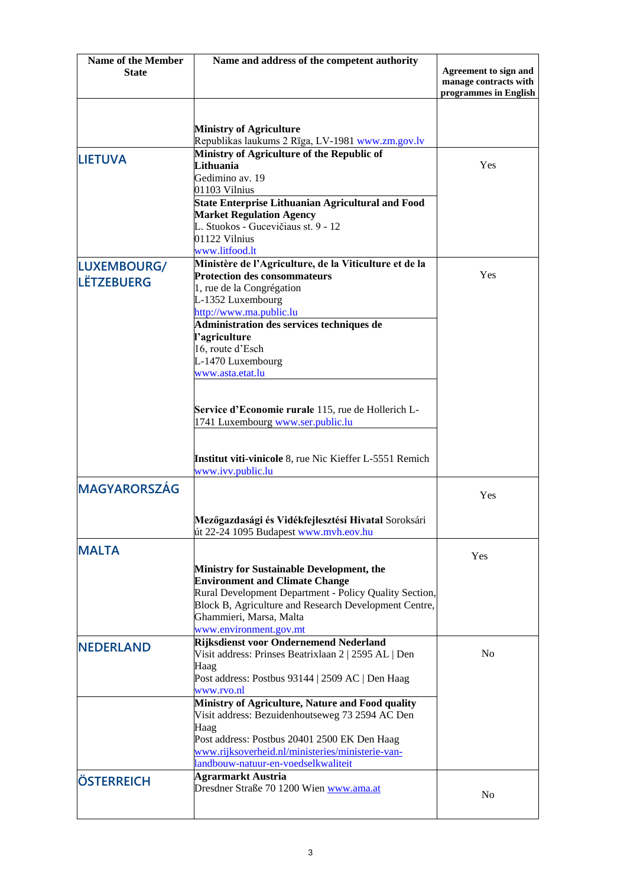| <b>Name of the Member</b> | Name and address of the competent authority                                                  |                                                                         |
|---------------------------|----------------------------------------------------------------------------------------------|-------------------------------------------------------------------------|
| <b>State</b>              |                                                                                              | Agreement to sign and<br>manage contracts with<br>programmes in English |
|                           |                                                                                              |                                                                         |
|                           | <b>Ministry of Agriculture</b>                                                               |                                                                         |
|                           | Republikas laukums 2 Rīga, LV-1981 www.zm.gov.lv                                             |                                                                         |
| <b>LIETUVA</b>            | Ministry of Agriculture of the Republic of                                                   |                                                                         |
|                           | Lithuania                                                                                    | Yes                                                                     |
|                           | Gedimino av. 19                                                                              |                                                                         |
|                           | 01103 Vilnius<br><b>State Enterprise Lithuanian Agricultural and Food</b>                    |                                                                         |
|                           | <b>Market Regulation Agency</b>                                                              |                                                                         |
|                           | L. Stuokos - Gucevičiaus st. 9 - 12                                                          |                                                                         |
|                           | 01122 Vilnius                                                                                |                                                                         |
|                           | www.litfood.lt                                                                               |                                                                         |
| LUXEMBOURG/               | Ministère de l'Agriculture, de la Viticulture et de la                                       | Yes                                                                     |
| <b>LËTZEBUERG</b>         | <b>Protection des consommateurs</b><br>1, rue de la Congrégation                             |                                                                         |
|                           | L-1352 Luxembourg                                                                            |                                                                         |
|                           | http://www.ma.public.lu                                                                      |                                                                         |
|                           | Administration des services techniques de                                                    |                                                                         |
|                           | l'agriculture                                                                                |                                                                         |
|                           | 16, route d'Esch                                                                             |                                                                         |
|                           | L-1470 Luxembourg                                                                            |                                                                         |
|                           | www.asta.etat.lu                                                                             |                                                                         |
|                           |                                                                                              |                                                                         |
|                           | Service d'Economie rurale 115, rue de Hollerich L-                                           |                                                                         |
|                           | 1741 Luxembourg www.ser.public.lu                                                            |                                                                         |
|                           |                                                                                              |                                                                         |
|                           | Institut viti-vinicole 8, rue Nic Kieffer L-5551 Remich                                      |                                                                         |
|                           | www.ivv.public.lu                                                                            |                                                                         |
| <b>MAGYARORSZÁG</b>       |                                                                                              |                                                                         |
|                           |                                                                                              | Yes                                                                     |
|                           |                                                                                              |                                                                         |
|                           | Mezőgazdasági és Vidékfejlesztési Hivatal Soroksári<br>út 22-24 1095 Budapest www.mvh.eov.hu |                                                                         |
|                           |                                                                                              |                                                                         |
| <b>MALTA</b>              |                                                                                              | Yes                                                                     |
|                           | <b>Ministry for Sustainable Development, the</b>                                             |                                                                         |
|                           | <b>Environment and Climate Change</b>                                                        |                                                                         |
|                           | Rural Development Department - Policy Quality Section,                                       |                                                                         |
|                           | Block B, Agriculture and Research Development Centre,                                        |                                                                         |
|                           | Ghammieri, Marsa, Malta<br>www.environment.gov.mt                                            |                                                                         |
|                           | Rijksdienst voor Ondernemend Nederland                                                       |                                                                         |
| <b>NEDERLAND</b>          | Visit address: Prinses Beatrixlaan 2   2595 AL   Den                                         | N <sub>0</sub>                                                          |
|                           | Haag                                                                                         |                                                                         |
|                           | Post address: Postbus 93144   2509 AC   Den Haag                                             |                                                                         |
|                           | www.rvo.nl                                                                                   |                                                                         |
|                           | Ministry of Agriculture, Nature and Food quality                                             |                                                                         |
|                           | Visit address: Bezuidenhoutseweg 73 2594 AC Den                                              |                                                                         |
|                           | Haag<br>Post address: Postbus 20401 2500 EK Den Haag                                         |                                                                         |
|                           | www.rijksoverheid.nl/ministeries/ministerie-van-                                             |                                                                         |
|                           | landbouw-natuur-en-voedselkwaliteit                                                          |                                                                         |
| <b>ÖSTERREICH</b>         | <b>Agrarmarkt Austria</b>                                                                    |                                                                         |
|                           | Dresdner Straße 70 1200 Wien www.ama.at                                                      | N <sub>0</sub>                                                          |
|                           |                                                                                              |                                                                         |
|                           |                                                                                              |                                                                         |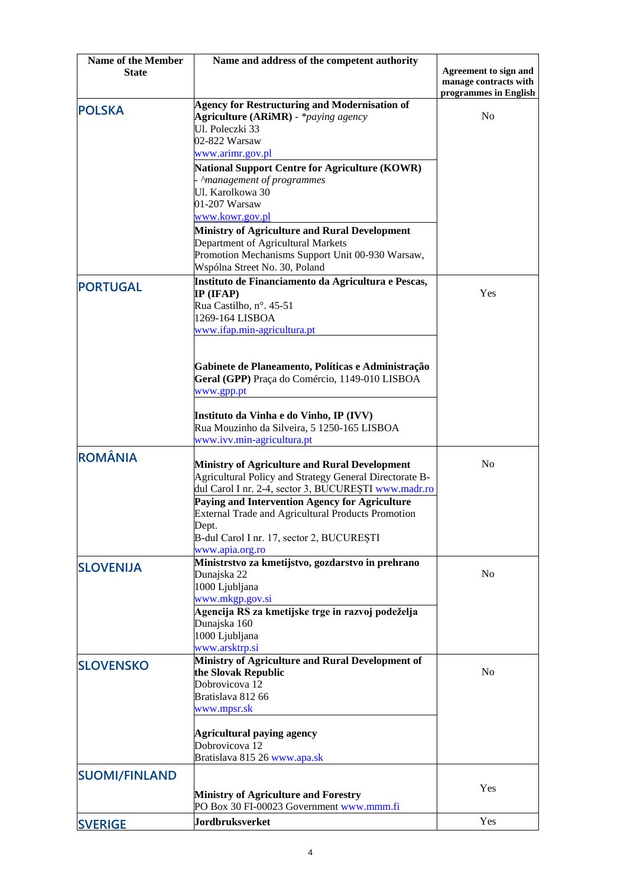| <b>Name of the Member</b> | Name and address of the competent authority                                                                 |                       |
|---------------------------|-------------------------------------------------------------------------------------------------------------|-----------------------|
| <b>State</b>              |                                                                                                             | Agreement to sign and |
|                           |                                                                                                             | manage contracts with |
|                           |                                                                                                             | programmes in English |
| <b>POLSKA</b>             | <b>Agency for Restructuring and Modernisation of</b><br><b>Agriculture (ARiMR)</b> - * <i>paying agency</i> | N <sub>o</sub>        |
|                           | Ul. Poleczki 33                                                                                             |                       |
|                           | 02-822 Warsaw                                                                                               |                       |
|                           | www.arimr.gov.pl                                                                                            |                       |
|                           | <b>National Support Centre for Agriculture (KOWR)</b>                                                       |                       |
|                           | Amanagement of programmes                                                                                   |                       |
|                           | Ul. Karolkowa 30                                                                                            |                       |
|                           | 01-207 Warsaw                                                                                               |                       |
|                           | www.kowr.gov.pl                                                                                             |                       |
|                           | Ministry of Agriculture and Rural Development                                                               |                       |
|                           | Department of Agricultural Markets                                                                          |                       |
|                           | Promotion Mechanisms Support Unit 00-930 Warsaw,                                                            |                       |
|                           | Wspólna Street No. 30, Poland                                                                               |                       |
|                           | Instituto de Financiamento da Agricultura e Pescas,                                                         |                       |
| <b>PORTUGAL</b>           | $IP$ (IFAP)                                                                                                 | Yes                   |
|                           | Rua Castilho, nº. 45-51                                                                                     |                       |
|                           | 1269-164 LISBOA                                                                                             |                       |
|                           | www.ifap.min-agricultura.pt                                                                                 |                       |
|                           |                                                                                                             |                       |
|                           |                                                                                                             |                       |
|                           | Gabinete de Planeamento, Políticas e Administração                                                          |                       |
|                           | Geral (GPP) Praça do Comércio, 1149-010 LISBOA                                                              |                       |
|                           | www.gpp.pt                                                                                                  |                       |
|                           |                                                                                                             |                       |
|                           | Instituto da Vinha e do Vinho, IP (IVV)                                                                     |                       |
|                           | Rua Mouzinho da Silveira, 5 1250-165 LISBOA                                                                 |                       |
|                           | www.ivv.min-agricultura.pt                                                                                  |                       |
| <b>ROMÂNIA</b>            |                                                                                                             |                       |
|                           | <b>Ministry of Agriculture and Rural Development</b>                                                        | N <sub>0</sub>        |
|                           | Agricultural Policy and Strategy General Directorate B-                                                     |                       |
|                           | dul Carol I nr. 2-4, sector 3, BUCUREȘTI www.madr.ro                                                        |                       |
|                           | Paying and Intervention Agency for Agriculture                                                              |                       |
|                           | <b>External Trade and Agricultural Products Promotion</b>                                                   |                       |
|                           | Dept.                                                                                                       |                       |
|                           | B-dul Carol I nr. 17, sector 2, BUCUREȘTI                                                                   |                       |
|                           | www.apia.org.ro                                                                                             |                       |
| <b>SLOVENIJA</b>          | Ministrstvo za kmetijstvo, gozdarstvo in prehrano                                                           |                       |
|                           | Dunajska 22                                                                                                 | No                    |
|                           | 1000 Ljubljana                                                                                              |                       |
|                           | www.mkgp.gov.si                                                                                             |                       |
|                           | Agencija RS za kmetijske trge in razvoj podeželja                                                           |                       |
|                           | Dunajska 160                                                                                                |                       |
|                           | 1000 Ljubljana                                                                                              |                       |
|                           | www.arsktrp.si                                                                                              |                       |
| <b>SLOVENSKO</b>          | Ministry of Agriculture and Rural Development of                                                            |                       |
|                           | the Slovak Republic                                                                                         | N <sub>0</sub>        |
|                           | Dobrovicova 12<br>Bratislava 812 66                                                                         |                       |
|                           |                                                                                                             |                       |
|                           | www.mpsr.sk                                                                                                 |                       |
|                           | <b>Agricultural paying agency</b>                                                                           |                       |
|                           | Dobrovicova 12                                                                                              |                       |
|                           | Bratislava 815 26 www.apa.sk                                                                                |                       |
|                           |                                                                                                             |                       |
| <b>SUOMI/FINLAND</b>      |                                                                                                             |                       |
|                           | <b>Ministry of Agriculture and Forestry</b>                                                                 | Yes                   |
|                           | PO Box 30 FI-00023 Government www.mmm.fi                                                                    |                       |
|                           | <b>Jordbruksverket</b>                                                                                      | Yes                   |
| <b>SVERIGE</b>            |                                                                                                             |                       |